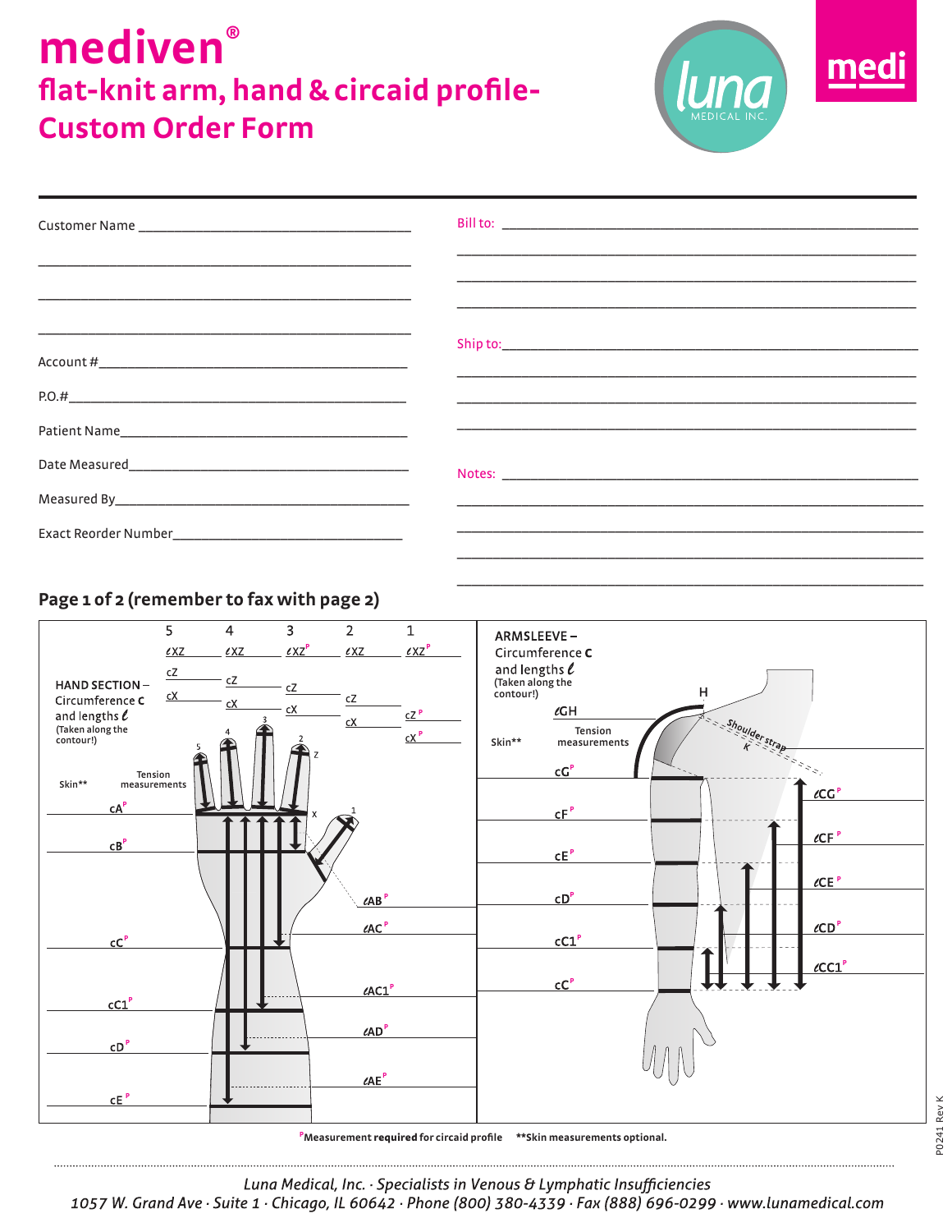## **mediven® flat-knit arm, hand & circaid profile-Custom Order Form**



\_\_\_\_\_\_\_\_\_\_\_\_\_\_\_\_\_\_\_\_\_\_\_\_\_\_\_\_\_\_\_\_\_\_\_\_\_\_\_\_\_\_\_\_\_\_\_\_\_\_\_\_\_\_\_\_\_\_\_\_\_\_\_\_\_

|                                                                                                                       | <u> 1989 - An Dùbhlachd ann an Chuid ann an Chuid ann an Chuid ann an Chuid ann an Chuid ann an Chuid ann an Chuid</u> |
|-----------------------------------------------------------------------------------------------------------------------|------------------------------------------------------------------------------------------------------------------------|
| <u> La construcción de la construcción de la construcción de la construcción de la construcción de la construcció</u> |                                                                                                                        |
|                                                                                                                       |                                                                                                                        |
|                                                                                                                       |                                                                                                                        |
|                                                                                                                       |                                                                                                                        |
|                                                                                                                       |                                                                                                                        |
|                                                                                                                       |                                                                                                                        |
|                                                                                                                       |                                                                                                                        |
|                                                                                                                       |                                                                                                                        |

### **Page 1 of 2 (remember to fax with page 2)**



P0241 Rev K

P0241 Rev K